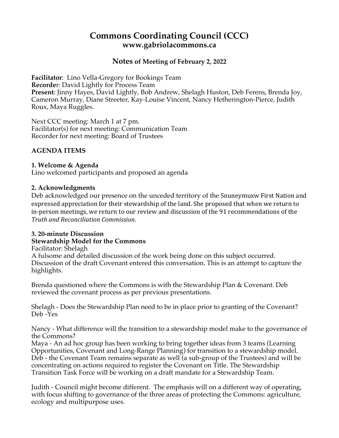# **Commons Coordinating Council (CCC) www.gabriolacommons.ca**

# **Notes of Meeting of February 2, 2022**

**Facilitator**: Lino Vella-Gregory for Bookings Team **Recorde**r: David Lightly for Process Team **Present**: Jinny Hayes, David Lightly, Bob Andrew, Shelagh Huston, Deb Ferens, Brenda Joy, Cameron Murray, Diane Streeter, Kay-Louise Vincent, Nancy Hetherington-Pierce, Judith Roux, Maya Ruggles.

Next CCC meeting: March 1 at 7 pm. Facilitator(s) for next meeting: Communication Team Recorder for next meeting: Board of Trustees

#### **AGENDA ITEMS**

#### **1. Welcome & Agenda**

Lino welcomed participants and proposed an agenda

#### **2. Acknowledgments**

Deb acknowledged our presence on the unceded territory of the Snuneymuxw First Nation and expressed appreciation for their stewardship of the land. She proposed that when we return to in-person meetings, we return to our review and discussion of the 91 recommendations of the *Truth and Reconciliation Commission.*

# **3. 20-minute Discussion**

#### **Stewardship Model for the Commons**

Facilitator: Shelagh

A fulsome and detailed discussion of the work being done on this subject occurred. Discussion of the draft Covenant entered this conversation. This is an attempt to capture the highlights.

Brenda questioned where the Commons is with the Stewardship Plan & Covenant. Deb reviewed the covenant process as per previous presentations.

Shelagh - Does the Stewardship Plan need to be in place prior to granting of the Covenant? Deb -Yes

Nancy - What difference will the transition to a stewardship model make to the governance of the Commons?

Maya - An ad hoc group has been working to bring together ideas from 3 teams (Learning Opportunities, Covenant and Long-Range Planning) for transition to a stewardship model. Deb - the Covenant Team remains separate as well (a sub-group of the Trustees) and will be concentrating on actions required to register the Covenant on Title. The Stewardship Transition Task Force will be working on a draft mandate for a Stewardship Team.

Judith - Council might become different. The emphasis will on a different way of operating, with focus shifting to governance of the three areas of protecting the Commons: agriculture, ecology and multipurpose uses.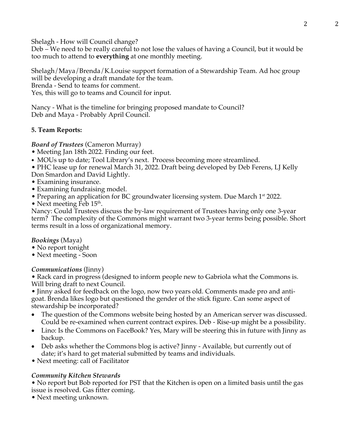Shelagh - How will Council change?

Deb – We need to be really careful to not lose the values of having a Council, but it would be too much to attend to **everything** at one monthly meeting.

Shelagh/Maya/Brenda/K.Louise support formation of a Stewardship Team. Ad hoc group will be developing a draft mandate for the team.

Brenda - Send to teams for comment.

Yes, this will go to teams and Council for input.

Nancy - What is the timeline for bringing proposed mandate to Council? Deb and Maya - Probably April Council.

## **5. Team Reports:**

*Board of Trustees* (Cameron Murray)

- Meeting Jan 18th 2022. Finding our feet.
- MOUs up to date; Tool Library's next. Process becoming more streamlined.

• PHC lease up for renewal March 31, 2022. Draft being developed by Deb Ferens, LJ Kelly Don Smardon and David Lightly.

- Examining insurance.
- Examining fundraising model.
- Preparing an application for BC groundwater licensing system. Due March 1<sup>st</sup> 2022.
- Next meeting Feb  $15<sup>th</sup>$ .

Nancy: Could Trustees discuss the by-law requirement of Trustees having only one 3-year term? The complexity of the Commons might warrant two 3-year terms being possible. Short terms result in a loss of organizational memory.

#### *Bookings* (Maya)

- No report tonight
- Next meeting Soon

# *Communications* (Jinny)

• Rack card in progress (designed to inform people new to Gabriola what the Commons is. Will bring draft to next Council.

• Jinny asked for feedback on the logo, now two years old. Comments made pro and antigoat. Brenda likes logo but questioned the gender of the stick figure. Can some aspect of stewardship be incorporated?

- The question of the Commons website being hosted by an American server was discussed. Could be re-examined when current contract expires. Deb - Rise-up might be a possibility.
- Lino: Is the Commons on FaceBook? Yes, Mary will be steering this in future with Jinny as backup.
- Deb asks whether the Commons blog is active? Jinny Available, but currently out of date; it's hard to get material submitted by teams and individuals.
- Next meeting: call of Facilitator

# *Community Kitchen Stewards*

• No report but Bob reported for PST that the Kitchen is open on a limited basis until the gas issue is resolved. Gas fitter coming.

• Next meeting unknown.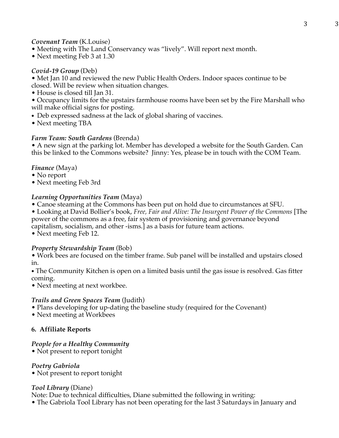#### *Covenant Team* (K.Louise)

- Meeting with The Land Conservancy was "lively". Will report next month.
- Next meeting Feb 3 at 1.30

## *Covid-19 Group* (Deb)

• Met Jan 10 and reviewed the new Public Health Orders. Indoor spaces continue to be closed. Will be review when situation changes.

- House is closed till Jan 31.
- Occupancy limits for the upstairs farmhouse rooms have been set by the Fire Marshall who will make official signs for posting.
- Deb expressed sadness at the lack of global sharing of vaccines.
- Next meeting TBA

## *Farm Team: South Gardens* (Brenda)

• A new sign at the parking lot. Member has developed a website for the South Garden. Can this be linked to the Commons website? Jinny: Yes, please be in touch with the COM Team.

## *Finance* (Maya)

- No report
- Next meeting Feb 3rd

## *Learning Opportunities Team* (Maya)

- Canoe steaming at the Commons has been put on hold due to circumstances at SFU.
- Looking at David Bollier's book, *Free, Fair and Alive: The Insurgent Power of the Commons* [The power of the commons as a free, fair system of provisioning and governance beyond capitalism, socialism, and other -isms.] as a basis for future team actions.

• Next meeting Feb 12.

# *Property Stewardship Team* (Bob)

• Work bees are focused on the timber frame. Sub panel will be installed and upstairs closed in.

• The Community Kitchen is open on a limited basis until the gas issue is resolved. Gas fitter coming.

• Next meeting at next workbee.

# *Trails and Green Spaces Team* (Judith)

• Plans developing for up-dating the baseline study (required for the Covenant)

• Next meeting at Workbees

# **6. Affiliate Reports**

#### *People for a Healthy Community*

• Not present to report tonight

#### *Poetry Gabriola*

• Not present to report tonight

#### *Tool Library* (Diane)

Note: Due to technical difficulties, Diane submitted the following in writing:

• The Gabriola Tool Library has not been operating for the last 3 Saturdays in January and